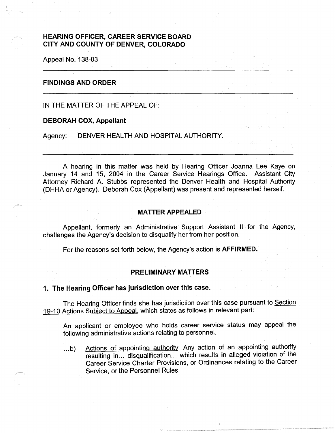# **HEARING OFFICER, CAREER SERVICE BOARD CITY AND COUNTY OF DENVER, COLORADO**

Appeal No. 138-03

#### **FINDINGS AND ORDER**

IN THE MATTER OF THE APPEAL OF:

#### **DEBORAH COX, Appellant**

Agency: DENVER HEALTH AND HOSPITAL AUTHORITY.

A hearing in this matter was held by Hearing Officer Joanna Lee Kaye on January 14 and 15, 2004 in the Career Service Hearings Office. Assistant City Attorney Richard A. Stubbs represented the Denver Health and Hospital Authority (DHHA or Agency). Deborah Cox (Appellant) was present and represented herself.

## **MATTER APPEALED**

Appellant, formerly an Administrative Support Assistant II for the Agency, challenges the Agency's decision to disqualify her from her position.

For the reasons set forth below, the Agency's action is **AFFIRMED.** 

## **PRELIMINARY MATTERS**

#### **1. The Hearing Officer has jurisdiction over this case.**

The Hearing Officer finds she has jurisdiction over this case pursuant to Section 19-10 Actions Subject to Appeal, which states as follows in relevant part:

An applicant or employee who holds career service status may appeal the following administrative actions relating to personnel.

... b) Actions of appointing authority: Any action of an appointing authority resulting in... disqualification... which results in alleged violation of the Career Service Charter Provisions, or Ordinances relating to the Career Service, or the Personnel Rules.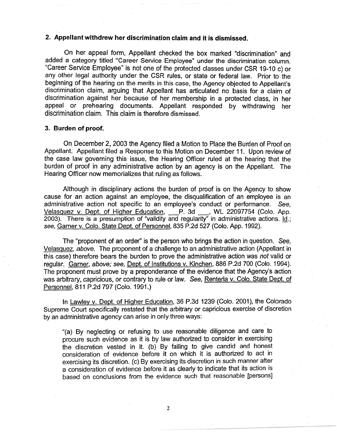## **2. Appellant withdrew her discrimination claim and it is dismissed.**

On her appeal form, Appellant checked the box marked "discrimination" and added a category titled "Career Service Employee" under the discrimination column. "Career Service Employee" is not one of the protected classes under CSR 19-10 c) or any other legal authority under the CSR rules, or state or federal law. Prior to the beginning of the hearing on the merits in this case, the Agency objected to Appellant's discrimination claim, arguing that Appellant has articulated no basis for a claim of discrimination against her because of her membership in a protected class, in her appeal or prehearing documents. Appellant responded by withdrawing her discrimination claim. This claim is therefore dismissed

#### **3. Burden of proof.**

On December 2, 2003 the Agency filed a Motion to Place the Burden of Proof on Appellant. Appellant filed a Response to this Motion on December 11. Upon review of the case law governing this issue, the Hearing Officer ruled at the hearing that the burden of proof in any administrative action by an agency is on the Appellant. The Hearing Officer now memorializes that ruling as follows.

Although in disciplinary actions the burden of proof is on the Agency to show cause for an action against an employee, the disqualification of an employee is an administrative action not specific to an employee's conduct or performance. See,<br><u>Velasquez v. Dept. of Higher Education, </u>P. 3d <sub>ـــــ</sub>, WL 22097754 (Colo. App. Velasquez v. Dept. of Higher Education, P. 3d ..., WL 22097754 (Colo. App. 2003). There is a presumption of "validity and regularity" in administrative actions. Id.; *see,* Garner v. Colo. State Dept. of Personnel, 835 P.2d 527 (Colo. App. 1992).

The "proponent of an order'' is the person who brings the action in question. See, Velasquez, *above.* The proponent of a challenge to an administrative action (Appellant in this case) therefore bears the burden to prove the administrative action was *not* valid or regular. Garner, *above;* see, Dept. of Institutions v. Kinchen, 886 P.2d 700 (Colo. 1994). The proponent must prove by a preponderance of the evidence that the Agency's action was arbitrary, capricious, or contrary to rule or law. See, Renteria v. Colo. State Dept. of Personnel, 811 P.2d 797 (Colo. 1991.)

In Lawley v. Dept. of Higher Education, 36 P.3d 1239 (Colo. 2001), the Colorado Supreme Court specifically restated that the arbitrary or capricious exercise of discretion by an administrative agency can arise in only three ways:

"(a) By neglecting or refusing to use reasonable diligence and care to procure such evidence as it is by law authorized to consider in exercising the discretion vested in it. (b) By failing to give candid and honest consideration of evidence before it on which it is authorized to act in exercising its discretion. (c) By exercising its discretion in such manner after a consideration of evidence before it as clearly to indicate that its action is based on conclusions from the evidence such that reasonable [persons]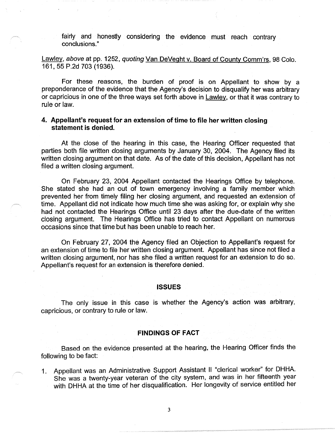fairly and honestly considering the evidence must reach contrary conclusions."

Lawley, above at pp. 1252, quoting Van DeVeght v. Board of County Comm'rs, 98 Colo. 161, 55 P.2d 703 (1936).

For these reasons, the burden of proof is on Appellant to show by a preponderance of the evidence that the Agency's decision to disqualify her was arbitrary or capricious in one of the three ways set forth above in Lawley. or that it was contrary to rule or law.

# **4. Appellant's request for an extension of time to file her written closing statement is denied.**

At the close of the hearing in this case, the Hearing Officer requested that parties both file written closing arguments by January 30, 2004. The Agency filed its written closing argument on that date. As of the date of this decision, Appellant has not filed a written closing argument.

On February 23, 2004 Appellant contacted the Hearings Office by telephone. She stated she had an out of town emergency involving a family member which prevented her from timely filing her closing argument, and requested an extension of time. Appellant did not indicate how much time she was asking for, or explain why she had not contacted the Hearings Office until 23 days after the due-date of the written closing argument. The Hearings Office has tried to contact Appellant on numerous occasions since that time but has been unable to reach her.

On February 27, 2004 the Agency filed an Objection to Appellant's request for an extension of time to file her written closing argument. Appellant has since not filed a written closing argument, nor has she filed a written request for an extension to do so. Appellant's request for an extension is therefore denied.

#### **ISSUES**

The only issue in this case is whether the Agency's action was arbitrary, capricious, or contrary to rule or law.

#### **FINDINGS OF FACT**

Based on the evidence presented at the hearing, the Hearing Officer finds the following to be fact:

1. Appellant was an Administrative Support Assistant II "clerical worker" for DHHA. She was a twenty-year veteran of the city system, and was in her fifteenth year with DHHA at the time of her disqualification. Her longevity of service entitled her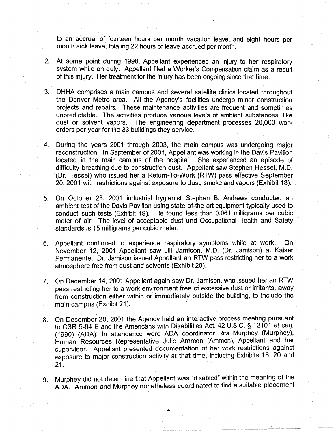to an accrual of fourteen hours per month vacation leave, and eight hours per month sick leave, totaling 22 hours of leave accrued per month.

- 2. At some point during 1998, Appellant experienced an injury to her respiratory system while on duty. Appellant filed a Worker's Compensation claim as a result of this injury. Her treatment for the injury has been ongoing since that time.
- 3. DHHA comprises a main campus and several satellite clinics located throughout the Denver Metro area. All the Agency's facilities undergo minor construction projects and repairs. These maintenance activities are frequent and sometimes unpredictable. The activities produce various levels of ambient substances, like dust or solvent vapors. The engineering department processes 20,000 work orders per year for the 33 buildings they service.
- 4. During the years 2001 through 2003, the main campus was undergoing major reconstruction. In September of 2001, Appellant was working in the Davis Pavilion located in the main campus of the hospital. She experienced an episode of difficulty breathing due to construction dust. Appellant saw Stephen Hessel, M.D. (Dr. Hessel) who issued her a Return-To-Work (RTW) pass effective September 20, 2001 with restrictions against exposure to dust, smoke and vapors (Exhibit 18).
- 5. On October 23, 2001 industrial hygienist" Stephen 8. Andrews conducted an ambient test of the Davis Pavilion using state-of-the-art equipment typically used to conduct such tests (Exhibit 19). He found less than 0.061 milligrams per cubic meter of air. The level of acceptable dust und Occupational Health and Safety standards is 15 milligrams per cubic meter.
- 6. Appellant continued to experience respiratory symptoms while at work. On November 12, 2001 Appellant saw Jill Jamison, M.D. (Dr. Jamison) at Kaiser Permanente. Dr. Jamison issued Appellant an RTW pass restricting her to a work atmosphere free from dust and solvents (Exhibit 20).
- 7. On December 14, 2001 Appellant again saw Dr. Jamison, who issued her an RTW pass restricting her to a work environment free of excessive dust or irritants, away from construction either within or immediately outside the building, to include the main campus (Exhibit 21 ).
- 8. On December 20, 2001 the Agency held an interactive process meeting pursuant to CSR 5-84 E and the Americans with Disabilities Act, 42 U.S.C. § 12101 et seq. (1990) (ADA). In attendance were ADA coordinator Rita Murphey (Murphey), Human Resources Representative Julie Ammon (Ammon), Appellant and her supervisor. Appellant presented documentation of her work restrictions against exposure to major construction activity at that time, including Exhibits 18, 20 and 21.
- 9. Murphey did not determine that Appellant was "disabled" within the meaning of the ADA. Ammon and Murphey nonetheless coordinated to find a suitable placement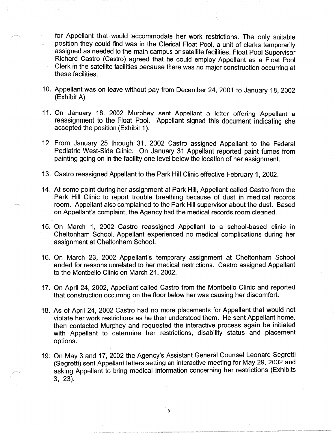for Appellant that would accommodate her work restrictions. The only suitable position they could find was in the Clerical Float Pool, a unit of clerks temporarily assigned as needed to the main campus or satellite facilities. Float Pool Supervisor Richard Castro (Castro) agreed that he could employ Appellant as a Float Pool Clerk in the satellite facilities because there was no major construction occurring at these facilities.

- 10. Appellant was on leave without pay from December 24, 2001 to January 18, 2002 (Exhibit A).
- 11. On January 18, 2002 Murphey sent Appellant a letter offering Appellant a reassignment to the Float Pool. Appellant signed this document indicating she accepted the position (Exhibit 1).
- 12. From January 25 through 31, 2002 Castro assigned Appellant to the Federal Pediatric West-Side Clinic. On January 31 Appellant reported paint fumes from painting going on in the facility one level below the location of her assignment.
- 13. Castro reassigned Appellant to the Park Hill Clinic effective February 1, 2002.
- 14. At some point during her assignment at Park Hill, Appellant called Castro from the Park Hill Clinic to report trouble breathing because of dust in medical records room. Appellant also complained to the Park Hill supervisor about the dust. Based on Appellant's complaint, the Agency had the medical records room cleaned.
- 15. On March 1, 2002 Castro reassigned Appellant to a school-based clinic in Cheltonham School. Appellant experienced no medical complications during her assignment at Cheltonham School.
- 16. On March 23, 2002 Appellant's temporary assignment at Cheltonham School ended for reasons unrelated to her medical restrictions. Castro assigned Appellant to the Montbello Clinic on March 24, 2002.
- 17. On April 24, 2002, Appellant called Castro from the Montbello Clinic and reported that construction occurring on the floor below her was causing her discomfort.
- 18. As of April 24, 2002 Castro had no more placements for Appellant that would not violate her work restrictions as he then understood them. He sent Appellant home, then contacted Murphey and requested the interactive process again be initiated with Appellant to determine her restrictions, disability status and placement options.
- 19. On May 3 and 17, 2002 the Agency's Assistant General Counsel Leonard Segretti (Segretti) sent Appellant letters setting an interactive meeting for May 29, 2002 and asking Appellant to bring medical information concerning her restrictions (Exhibits 3, 23).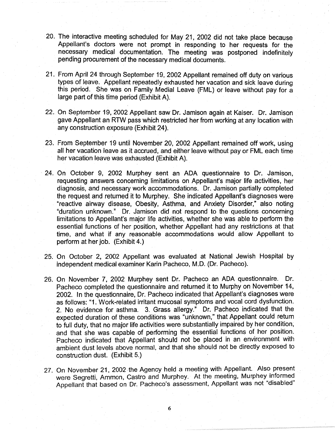- 20. The interactive meeting scheduled for May 21, 2002 did not take place because Appellant's doctors were not prompt in responding to her requests for the necessary medical documentation. The meeting was postponed indefinitely pending procurement of the necessary medical documents.
- 21. From April 24 through September 19, 2002 Appellant remained off duty on various types of leave. Appellant repeatedly exhausted her vacation and sick leave during this period. She was on Family Medial Leave (FML) or leave without pay for a large part of this time period (Exhibit A).
- 22. On September 19, 2002 Appellant saw Dr. Jamison again at Kaiser. Dr. Jamison gave Appellant an RTW pass which restricted her from working at any location with any construction exposure (Exhibit 24).
- 23. From September 19 until November 20, 2002 Appellant remained off work, using all her vacation leave as it accrued, and either leave without pay or FML each time her vacation leave was exhausted (Exhibit A).
- · 24. On October 9, 2002 Murphey sent an ADA questionnaire to Dr. Jamison, requesting answers concerning limitations on Appellant's major life activities, her diagnosis, and necessary work accommodations. Dr. Jamison partially completed the request and returned it to Murphey. She indicated Appellant's diagnoses were "reactive airway disease, Obesity, Asthma, and Anxiety Disorder," also noting "duration unknown." Dr. Jamison did not respond to the questions concerning limitations to Appellant's major life activities, whether she was able to perform the essential functions of her position, whether Appellant had any restrictions at that time, and what if any reasonable accommodations would allow Appellant to perform at her job. (Exhibit 4.)
- 25. On October 2, 2002 Appellant was evaluated at National Jewish Hospital by independent medical examiner Karin Pacheco, M.D. (Dr. Pacheco).
- 26. On November 7, 2002 Murphey sent Dr. Pacheco an ADA questionnaire. Dr. Pacheco completed the questionnaire and returned it to Murphy on November 14, 2002. In the questionnaire, Dr. Pacheco indicated that Appellant's diagnoses were as follows: "1. Work-related irritant mucosal symptoms and vocal cord dysfunction. 2. No evidence for asthma. 3. Grass allergy." Dr. Pacheco indicated that the expected duration of these conditions was "unknown," that Appellant could return to full duty, that no major life activities were substantially impaired by her condition, and that she was capable of performing the essential functions of her position. Pacheco indicated that Appellant should not be placed in an environment with ambient dust levels above normal, and that she should not be directly exposed to construction dust. (Exhibit 5.)
- 27. On November 21, 2002 the Agency held a meeting with Appellant. Also present were Segretti, Ammon, Castro and Murphey. At the meeting, Murphey informed Appellant that based on *Dr.* Pacheco's assessment, Appellant was not "disabled"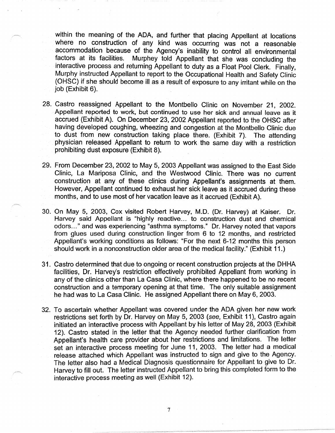within the meaning of the ADA, and further that placing Appellant at locations where no construction of any kind was occurring was not a reasonable accommodation because of the Agency's inability to control all environmental factors at its facilities. Murphey told Appellant that she was concluding the Murphey told Appellant that she was concluding the interactive process and returning Appellant to duty as a Float Pool Clerk. Finally, Murphy instructed Appellant to report to the Occupational Health and Safety Clinic (OHSC) if she should become ill as a result of exposure to any irritant while on the job (Exhibit 6).

- 28. Castro reassigned Appellant to the Montbello Clinic on November 21, 2002. Appellant reported to work, but continued to use her sick and annual leave as it accrued (Exhibit A). On December 23, 2002 Appellant reported to the OHSC after having developed coughing, wheezing and congestion at the Montbello Clinic due to dust from new construction taking place there. (Exhibit 7). The attending physician released Appellant to return to work the same day with a restriction prohibiting dust exposure (Exhibit 8).
- 29. From December 23, 2002 to May 5, 2003 Appellant was assigned to the East Side Clinic, La Mariposa Clinic, and the Westwood Clinic. There was no current construction at any of these clinics during Appellant's assignments at them. However, Appellant continued to exhaust her sick leave as it accrued during these months, and to use most of her vacation leave as it accrued (Exhibit A).
- 30. On May 5, 2003, Cox visited Robert Harvey, M.D. (Dr. Harvey) at Kaiser. Dr. Harvey said Appellant is "highly reactive... to construction dust and chemical odors ... " and was experiencing "asthma symptoms." Dr. Harvey noted that vapors from glues used during construction linger from 6 to 12 months, and restricted Appellant's working conditions as follows: "For the next 6-12 months this person should work in a nonconstruction older area of the medical facility." (Exhibit 11.)
- 31. Castro determined that due to ongoing or recent construction projects at the DHHA facilities, Dr. Harvey's restriction effectively prohibited Appellant from working in any of the clinics other than La Casa Clinic, where there happened to be no recent construction and a temporary opening at that time. The only suitable assignment he had was to La Casa Clinic. He assigned Appellant there on May 6, 2003.
- 32. To ascertain whether Appellant was covered under the ADA given her new work restrictions set forth by Dr. Harvey on May 5, 2003 (see, Exhibit 11), Castro again initiated an interactive process with Appellant by his letter of May 28, 2003 (Exhibit 12). Castro stated in the letter that the Agency needed further clarification from Appellant's health care provider about her restrictions and limitations. The letter set an interactive process meeting for June 11, 2003. The letter had a medical release attached which Appellant was instructed to sign and give to the Agency. The letter also had a Medical Diagnosis questionnaire for Appellant to give to Dr. Harvey to fill out. The letter instructed Appellant to bring this completed form to the interactive process meeting as well (Exhibit 12).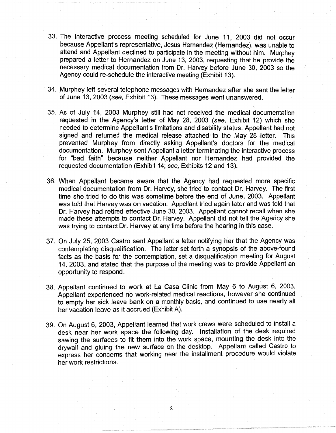- 33. The interactive process meeting scheduled for June 11, 2003 did not occur because Appellant's representative, Jesus Hernandez (Hernandez), was unable to attend and Appellant declined to participate in the meeting without him. Murphey prepared a letter to Hernandez on June 13, 2003, requesting that he provide the necessary medical documentation from Dr. Harvey before June 30, 2003 so the Agency could re-schedule the interactive meeting (Exhibit 13).
- 34. Murphey left several telephone messages with Hernandez after she sent the letter of June 13, 2003 (see, Exhibit 13). These messages went unanswered.
- 35. As of July 14, 2003 Murphey still had not received the medical documentation requested in the Agency's letter of May 28, 2003 (see, Exhibit 12) which she needed to determine Appellant's limitations and disability status. Appellant had not signed and returned the medical release attached to the May 28 letter. This prevented Murphey from directly asking Appellant's doctors for the medical documentation. Murphey sent Appellant a letter terminating the interactive process for "bad faith" because neither Appellant nor Hernandez had provided the requested documentation (Exhibit 14; see, Exhibits 12 and 13).
- 36. When Appellant became aware that the Agency had requested more specific medical documentation from Dr. Harvey, she tried to contact Dr. Harvey. The first time she tried to do this was sometime before the end of June, 2003. Appellant was told that Harvey was on vacation. Appellant tried again later and was told that Dr. Harvey had retired effective June 30, 2003. Appellant cannot recall when she made these attempts to contact Dr. Harvey. Appellant did not tell the Agency she was trying to contact Dr. Harvey at any time before the hearing in this case.
- 37. On July 25, 2003 Castro sent Appellant a letter notifying her that the Agency was contemplating disqualification. The letter set forth a synopsis of the above-found facts as the basis for the contemplation, set a disqualification meeting for August 14, 2003, and stated that the purpose of the meeting was to provide Appellant an opportunity to respond.
- 38. Appellant continued to work at La Casa Clinic from May 6 to August 6, 2003. Appellant experienced no work-related medical reactions, however she continued to empty her sick leave bank on a monthly basis, and continued to use nearly all her vacation leave as it accrued (Exhibit A).
- 39. On August 6, 2003, Appellant learned that work crews were scheduled to install a desk near her work space the following day. Installation of the desk required sawing the surfaces to fit them into the work space, mounting the desk into the drywall and gluing the new surface on the desktop. Appellant called Castro to express her concerns that working near the installment procedure would violate her work restrictions.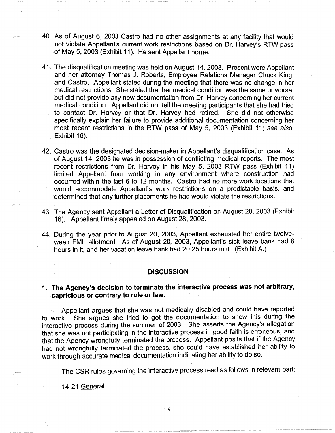- 40. As of August 6, 2003 Castro had no other assignments at any facility that would not violate Appellant's current work restrictions based on Dr. Harvey's RTW pass of May 5, 2003 (Exhibit 11 ). He sent Appellant home.
- 41. The disqualification meeting was held on August 14, 2003. Present were Appellant and her attorney Thomas J. Roberts, Employee Relations Manager Chuck King, and Castro. Appellant stated during the meeting that there was no change in her medical restrictions. She stated that her medical condition was the same or worse, but did not provide any new documentation from Dr. Harvey concerning her current medical condition. Appellant did not tell the meeting participants that she had tried to contact Dr. Harvey or that Dr. Harvey had retired. She did not otherwise specifically explain her failure to provide additional documentation concerning her most recent restrictions in the RTW pass of May 5, 2003 (Exhibit 11; see also, Exhibit 16).
- 42. Castro was the designated decision-maker in Appellant's disqualification case. As of August 14, 2003 he was in possession of conflicting medical reports. The most recent restrictions from Dr. Harvey in his May 5, 2003 RTW pass (Exhibit 11) limited Appellant from working in any environment where construction had occurred within the last 6 to 12 months. Castro had no more work locations that would accommodate Appellant's work restrictions on a predictable basis, and determined that any further placements he had would violate the restrictions.
- 43. The Agency sent Appellant a Letter of Disqualification on August 20, 2003 (Exhibit 16). Appellant timely appealed on August 28, 2003.
- 44. During the year prior to August 20, 2003, Appellant exhausted her entire twelveweek FML allotment. As of August 20, 2003, Appellant's sick leave bank had 8 hours in it, and her vacation leave bank had 20.25 hours in it. (Exhibit A.)

#### **DISCUSSION**

# **1. The Agency's decision to terminate the interactive process was not arbitrary, capricious or contrary to rule or law.**

Appellant argues that she was not medically disabled and could have reported to work. She argues she tried to get the documentation to show this during the interactive process during the summer of 2003. She asserts the Agency's allegation that she was not participating in the interactive process in good faith is erroneous, and that the Agency wrongfully terminated the process. Appellant posits that if the Agency had not wrongfully terminated the process, she could have established her ability to work through accurate medical documentation indicating her ability to do so.

The CSR rules governing the interactive process read as follows in relevant part:

14-21 General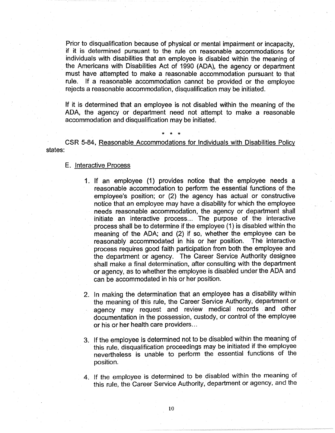Prior to disqualification because of physical or mental impairment or incapacity, if it is determined pursuant to the rule on reasonable accommodations for individuals with disabilities that an employee is disabled within the meaning of . the Americans with Disabilities Act of 1990 (ADA), the agency or department must have attempted to make a reasonable accommodation pursuant to that rule. If a reasonable accommodation cannot be provided or the employee rejects a reasonable accommodation, disqualification may be initiated.

If it is determined that an employee is not disabled within the meaning of the ADA, the agency or department need not attempt to make a reasonable accommodation and disqualification may be initiated.

CSR 5-84, Reasonable Accommodations for Individuals with Disabilities Policy states:

\* \* \*

### E. Interactive Process

- 1. If an employee (1) provides notice that the employee needs a reasonable accommodation to perform the essential functions of the employee's position; or (2) the agency has actual or constructive notice that an employee may have a disability for which the employee needs reasonable accommodation, the agency or department shall initiate an interactive process... The purpose of the interactive process shall be to determine if the employee (1) is disabled within the meaning of the ADA; and (2) if so, whether the employee can be reasonably accommodated in his or her position. The interactive process requires good faith participation from both the employee and the department or agency. The Career Service Authority designee shall make a final determination, after consulting with the department or agency, as to whether the employee is disabled under the ADA and can be accommodated in his or her position.
- 2. In making the determination that an employee has a disability within the meaning of this rule, the Career Service Authority, department or agency may request and review medical records and other documentation in the possession, custody, or control of the employee or his or her health care providers...
- 3. If the employee is determined not to be disabled within the meaning of this rule, disqualification proceedings may be initiated if the employee nevertheless is unable to perform the essential functions of the position.
- 4. If the employee is determined to be disabled within the meaning of this rule, the Career Service Authority, department or agency, and the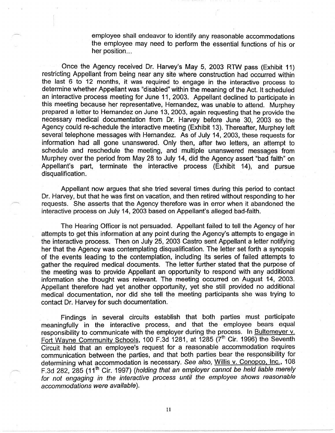employee shall endeavor to identify any reasonable accommodations the employee may need to perform the essential functions of his or her position...

Once the Agency received Dr. Harvey's May 5, 2003 RTW pass (Exhibit 11) restricting Appellant from being near any site where construction had occurred within the last 6 to 12 months, it was required to engage in the interactive process to determine whether Appellant was "disabled" within the meaning of the Act. It scheduled an interactive process meeting for June 11, 2003. Appellant declined to participate in this meeting because her representative, Hernandez, was unable to attend. Murphey prepared a letter to Hernandez on June 13, 2003, again requesting that he provide the necessary medical documentation from Dr. Harvey before June 30, 2003 so the Agency could re-schedule the interactive meeting (Exhibit 13). Thereafter, Murphey left several telephone messages with Hernandez. As of July 14, 2003, these requests for information had all gone unanswered. Only then, after two letters, an attempt to schedule and reschedule the meeting, and multiple unanswered messages from Murphey over the period from May 28 to July 14, did the Agency assert "bad faith" on Appellant's part, terminate the interactive process (Exhibit 14), and pursue disqualification.

Appellant now argues that she tried several times during this period to contact Dr. Harvey, but that he was first on vacation, and then retired without responding to her requests. She asserts that the Agency therefore was in error when it abandoned the interactive process on July 14, 2003 based on Appellant's alleged bad-faith.

The Hearing Officer is not persuaded. Appellant failed to tell the Agency of her attempts to get this information at any point during the Agency's attempts to engage in the interactive process. Then on July 25, 2003 Castro sent Appellant a letter notifying her that the Agency was contemplating disqualification. The letter set forth a synopsis of the events leading to the contemplation, including its series of failed attempts to gather the required medical documents. The letter further stated that the purpose of the meeting was to provide Appellant an opportunity to respond with any additional information she thought was relevant. The meeting occurred on August 14, 2003. Appellant therefore had yet another opportunity, yet she still provided no additional medical documentation, nor did she tell the meeting participants she was trying to contact Dr. Harvey for such documentation.

Findings in several circuits establish that both parties must participate meaningfully in the interactive process, and that the employee bears equal responsibility to communicate with the employer during the process. In Bultemeyer v. Fort Wayne Community Schools, 100 F.3d 1281, at 1285 (7<sup>th</sup> Cir. 1996) the Seventh Circuit held that an employee's request for a reasonable accommodation requires communication between the parties, and that both parties bear the responsibility for determining what accommodation is necessary. See also, Willis v. Conopco, Inc., 108 F.3d 282, 285 (11<sup>th</sup> Cir. 1997) (holding that an employer cannot be held liable merely for not engaging in the interactive process until the employee shows reasonable accommodations were available).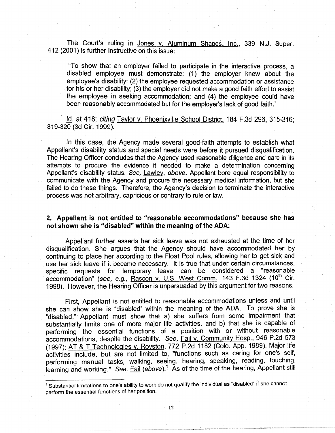The Court's ruling in Jones v. Aluminum Shapes, Inc., 339 N.J. Super. 412 {2001) is further instructive on this issue:

"To show that an employer failed to participate in the interactive process, a disabled employee must demonstrate: (1) the employer knew about the employee's disability; (2) the employee requested accommodation or assistance for his or her disability; (3) the employer did not make a good faith effort to assist the employee in seeking accommodation; and (4) the employee could have been reasonably accommodated but for the employer's lack of good faith."

Id. at 418; citing Taylor v. Phoenixville School District, 184 F.3d 296, 315-316; 319-320 (3d Cir. 1999).

In this case, the Agency made several good-faith attempts to establish what Appellant's disability status and special needs were before it pursued disqualification. The Hearing Officer concludes that the Agency used reasonable diligence and care in its attempts to procure the evidence it needed to make a determination concerning Appellant's disability status. See, Lawley, above. Appellant bore equal responsibility to communicate with the Agency and procure the necessary medical information, but she failed to do these things. Therefore, the Agency's decision to terminate the interactive process was not arbitrary, capricious or contrary to rule or law.

# **2. Appellant is not entitled to "reasonable accommodations" because she has not shown she is "disabled" within the meaning of the ADA.**

Appellant further asserts her sick leave was not exhausted at the time of her disqualification. She argues that the Agency should have accommodated her by continuing to place her according to the Float Pool rules, allowing her to get sick and use her sick leave if it became necessary. It is true that under certain circumstances, specific requests for temporary leave can be considered a "reasonable accommodation" (see, e.g., Rascon v. U.S. West Comm., 143 F.3d 1324 (10<sup>th</sup> Cir. 1998). However, the Hearing Officer is unpersuaded by this argument for two reasons.

First, Appellant is not entitled to reasonable accommodations unless and until she can show she is "disabled" within the meaning of the ADA. To prove she is "disabled," Appellant must show that a) she suffers from some impairment that substantially limits one of more major life activities, and b) that she is capable of performing the essential functions of a position with or without reasonable accommodations, despite the disability. See, Fail v. Community Hosp., 946 P.2d 573 (1997); AT & T Technologies v. Royston, 772 P.2d 1182 (Colo. App. 1989). Major life activities include, but are not limited to, "functions such a\_s caring for one's self, performing manual tasks, walking, seeing, hearing, speaking, reading, touching, learning and working." See, Fail (above).<sup>1</sup> As of the time of the hearing, Appellant still

<sup>&</sup>lt;sup>1</sup> Substantial limitations to one's ability to work do not qualify the individual as "disabled" if she cannot perform the essential functions of her position.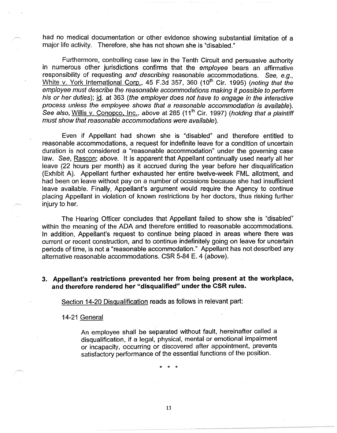had no medical documentation or other evidence showing substantial limitation of a major life activity. Therefore, she has not shown she is "disabled."

Furthermore, controlling case law in the Tenth Circuit and persuasive authority in numerous other jurisdictions confirms that the employee bears an affirmative responsibility of requesting and describing reasonable accommodations. See, e.g., White v. York International Corp., 45 F.3d 357, 360 (10<sup>th</sup> Cir. 1995) (noting that the employee must describe the reasonable accommodations making it possible to perform his or her duties); id. at 363 (the employer does not have to engage in the interactive process unless the employee shows that a reasonable accommodation is available). See also, Willis v. Conopco, Inc., above at 285 (11<sup>th</sup> Cir. 1997) (holding that a plaintiff must show that reasonable accommodations were available).

Even if Appellant had shown she is "disabled" and therefore entitled to reasonable accommodations, a request for indefinite leave for a condition of uncertain duration is not considered a "reasonable accommodation" under the governing case law. See, Rascon; above. It is apparent that Appellant continually used nearly all her leave (22 hours per month) as it accrued during the year before her disqualification (Exhibit A). Appellant further exhausted her entire twelve-week FML allotment, and had been on leave without pay on a number of occasions because she had insufficient leave available. Finally, Appellant's argument would require the Agency to continue placing Appellant in violation of known restrictions by her doctors, thus risking further injury to her.

The Hearing Officer concludes that Appellant failed to show she is "disabled" within the meaning of the ADA and therefore entitled to reasonable accommodations. · 1n addition, Appellant's request to continue being placed in areas where there was current or recent construction, and to continue indefinitely going on leave for uncertain periods of time, is not a "reasonable accommodation." Appellant has not described any alternative reasonable accommodations. CSR 5-84 E. 4 (above).

# **3. Appellant's restrictions prevented her from being present at the workplace, and therefore rendered her "disqualified" under the CSR rules.**

Section 14-20 Disqualification reads as follows in relevant part:

14-21 General

An employee shall be separated without fault, hereinafter called a disqualification, if a legal, physical, mental or emotional impairment or incapacity, occurring or discovered after appointment, prevents satisfactory performance of the essential functions of the position.

\* \* \*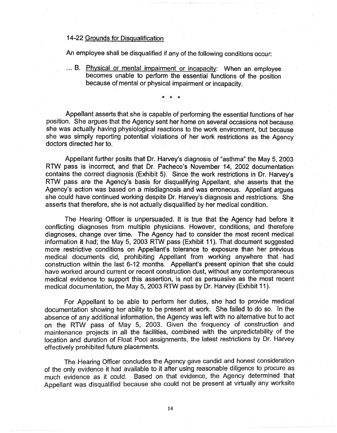# 14-22 Grounds for Disqualification

An employee shall be disqualified if any of the following conditions occur:

... B. Physical or mental impairment or incapacity: When an employee becomes unable to perform the essential functions of the position because of mental or physical impairment or incapacity.

\* \* \*·

Appellant asserts that she is capable of performing the essential functions of her position. She argues that the Agency sent her home on several occasions not because she was actually having physiological reactions to the work environment, but because she was simply reporting potential violations of her work restrictions as the Agency doctors directed her to.

Appellant further posits that Dr. Harvey's diagnosis of "asthma" the May 5, 2003 RTW pass is incorrect, and that Dr. Pacheco's November 14, 2002 documentation contains the correct diagnosis (Exhibit 5). Since the work restrictions in Dr. Harvey's RTW pass are the Agency's basis for disqualifying Appellant, she asserts that the Agency's action was based on a misdiagnosis and was erroneous. Appellant argues she could have continued working despite Dr. Harvey's diagnosis and restrictions. She asserts that therefore, she is not actually disqualified by her medical condition.

The Hearing Officer is unpersuaded. It is true that the Agency had before it conflicting diagnoses from multiple physicians. However, conditions, and therefore diagnoses, change over time. The Agency had to consider the most recent medical information it had; the May 5, 2003 RTW pass (Exhibit 11 ). That document suggested more restrictive conditions on Appellant's tolerance to exposure than her previous medical documents did, prohibiting Appellant from working anywhere that had construction within the last 6-12 months. Appellant's present opinion that she could have worked around current or recent construction dust, without any contemporaneous medical evidence to support this assertion, is not as persuasive as the most recent medical documentation, the May 5, 2003 RTW pass by Dr. Harvey (Exhibit 11 ).

For Appellant to be able to perform her duties, she had to provide medical documentation showing her ability to be present at work. She failed to do so. In the absence of any additional information, the Agency was left with no alternative but to act on the RTW pass of May 5, 2003. Given the frequency of construction and maintenance projects in all the facilities, combined with the unpredictability of the location and duration of Float Pool assignments, the latest restrictions by Dr. Harvey effectively prohibited future placements.

The Hearing Officer concludes the Agency gave candid and honest consideration of the only evidence it had available to it after using reasonable diligence to procure as much evidence as it could. Based on that evidence, the Agency determined that Appellant was disqualified because she could not be present at virtually any worksite